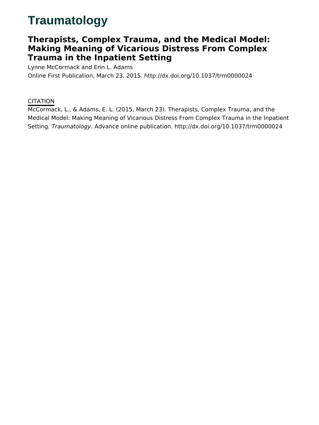# **Traumatology**

## **Therapists, Complex Trauma, and the Medical Model: Making Meaning of Vicarious Distress From Complex Trauma in the Inpatient Setting**

Lynne McCormack and Erin L. Adams Online First Publication, March 23, 2015. http://dx.doi.org/10.1037/trm0000024

### **CITATION**

McCormack, L., & Adams, E. L. (2015, March 23). Therapists, Complex Trauma, and the Medical Model: Making Meaning of Vicarious Distress From Complex Trauma in the Inpatient Setting. Traumatology. Advance online publication. http://dx.doi.org/10.1037/trm0000024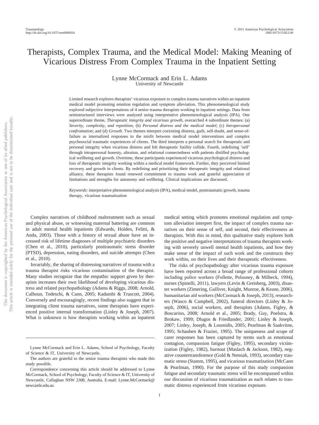### Therapists, Complex Trauma, and the Medical Model: Making Meaning of Vicarious Distress From Complex Trauma in the Inpatient Setting

Lynne McCormack and Erin L. Adams University of Newcastle

Limited research explores therapists' vicarious exposure to complex trauma narratives within an inpatient medical model promoting emotion regulation and symptom alleviation. This phenomenological study explored subjective interpretations of 4 senior trauma therapists working in inpatient settings. Data from semistructured interviews were analyzed using interpretative phenomenological analysis (IPA). One superordinate theme, *Therapeutic integrity and vicarious growth*, overarched 4 subordinate themes: (a) *Severity, complexity, and repetition*; (b) *Personal distress and the medical model*; (c) *Intrapersonal confrontation*; and (d) *Growth*. Two themes interpret coexisting distress, guilt, self-doubt, and sense-offailure as internalized responses to the misfit between medical model interventions and complex psychosocial traumatic experiences of clients. The third interprets a personal search for therapeutic and personal integrity when vicarious distress and felt therapeutic futility collide. Fourth, redefining 'self' through intrapersonal honesty, altruism, and relational connectedness with patients distilled psychological wellbeing and growth. Overtime, these participants experienced vicarious psychological distress and loss of therapeutic integrity working within a medical model framework. Further, they perceived limited recovery and growth in clients. By redefining and prioritizing their therapeutic integrity and relational alliance, these therapists found renewed commitment to trauma work and grateful appreciation of limitations and strengths for autonomy and wellbeing. Clinical implications are discussed.

*Keywords:* interpretative phenomenological analysis (IPA), medical model, posttraumatic growth, trauma therapy, vicarious traumatization

Complex narratives of childhood maltreatment such as sexual and physical abuse, or witnessing maternal battering are common in adult mental health inpatients (Edwards, Holden, Felitti, & Anda, 2003). Those with a history of sexual abuse have an increased risk of lifetime diagnoses of multiple psychiatric disorders (Chen et al., 2010), particularly posttraumatic stress disorder (PTSD), depression, eating disorders, and suicide attempts (Chen et al., 2010).

Invariably, the sharing of distressing narratives of trauma with a trauma therapist risks vicarious contamination of the therapist. Many studies recognize that the empathic support given by therapists increases their own likelihood of developing vicarious distress and related psychopathology (Adams & Riggs, 2008; Arnold, Calhoun, Tedeschi, & Cann, 2005; Kadambi & Truscott, 2004). Conversely and encouragingly, recent findings also suggest that in integrating client trauma narratives, some therapists have experienced positive internal transformation (Linley & Joseph, 2007). What is unknown is how therapists working within an inpatient

1

medical setting which promotes emotional regulation and symptom alleviation interpret first, the impact of complex trauma narratives on their sense of self, and second, their effectiveness as therapists. With this in mind, this qualitative study explores both the positive and negative interpretations of trauma therapists working with severely unwell mental health inpatients, and how they make sense of the impact of such work and the constructs they work within, on their lives and their therapeutic effectiveness.

The risks of psychopathology after vicarious trauma exposure have been reported across a broad range of professional cohorts including police workers (Follette, Polusney, & Milbeck, 1994), nurses (Spinelli, 2011), lawyers (Levin & Greisberg, 2003), disaster workers (Zimering, Gulliver, Knight, Munroe, & Keane, 2006), humanitarian aid workers (McCormack & Joseph, 2013), researchers (Wasco & Campbell, 2002), funeral directors (Linley & Joseph, 2006), social workers, and therapists (Adams, Figley, & Boscarino, 2008; Arnold et al., 2005; Brady, Guy, Poelstra, & Brokaw, 1999; Dlugos & Friedlander, 2001; Linley & Joseph, 2007; Linley, Joseph, & Loumidis, 2005; Pearlman & Saakvitne, 1995; Schauben & Frazier, 1995). The uniqueness and scope of carer responses has been captured by terms such as emotional contagion, compassion fatigue (Figley, 1995), secondary victimization (Figley, 1982), burnout (Maslach & Jackson, 1982), negative countertransference (Gold & Nemiah, 1993), secondary traumatic stress (Stamm, 1995), and vicarious traumatization (McCann & Pearlman, 1990). For the purpose of this study compassion fatigue and secondary traumatic stress will be encompassed within our discussion of vicarious traumatization as each relates to traumatic distress experienced from vicarious exposure.

Lynne McCormack and Erin L. Adams, School of Psychology, Faculty of Science & IT, University of Newcastle.

The authors are grateful to the senior trauma therapists who made this study possible.

Correspondence concerning this article should be addressed to Lynne McCormack, School of Psychology, Faculty of Science & IT, University of Newcastle, Callaghan NSW 2308, Australia. E-mail: Lynne.McCormack@ newcastle.edu.au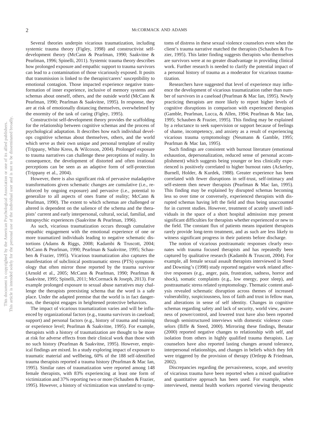Several theories underpin vicarious traumatization, including systemic trauma theory (Figley, 1998) and constructivist selfdevelopment theory (McCann & Pearlman, 1990; Saakvitne & Pearlman, 1996; Spinelli, 2011). Systemic trauma theory describes how prolonged exposure and empathic support to trauma survivors can lead to a contamination of those vicariously exposed. It posits that transmission is linked to the therapist/carers' susceptibility to emotional contagion. Those impacted experience negative transformation of inner experience, inclusive of memory systems and schemas about oneself, others, and the outside world (McCann & Pearlman, 1990; Pearlman & Saakvitne, 1995). In response, they are at risk of emotionally distancing themselves, overwhelmed by the enormity of the task of caring (Figley, 1995).

Constructivist self-development theory provides the scaffolding for the relationship between cognitive schemas and the process of psychological adaptation. It describes how each individual develops cognitive schemas about themselves, others, and the world which serve as their own unique and personal template of reality (Trippany, White Kress, & Wilcoxon, 2004). Prolonged exposure to trauma narratives can challenge these perceptions of reality. In consequence, the development of distorted and often irrational perceptions can be seen as an adaptive form of self-protection (Trippany et al., 2004).

However, there is also significant risk of pervasive maladaptive transformations given schematic changes are cumulative (i.e., reinforced by ongoing exposure) and pervasive (i.e., potential to generalize to all aspects of ones frame of reality; McCann & Pearlman, 1990). The extent to which schemas are challenged or altered is dependent on the salience of the schema and the therapists' current and early interpersonal, cultural, social, familial, and intrapsychic experiences (Saakvitne & Pearlman, 1996).

As such, vicarious traumatization occurs through cumulative empathic engagement with the emotional experience of one or more traumatized individuals leading to negative schematic distortions (Adams & Riggs, 2008; Kadambi & Truscott, 2004; McCann & Pearlman, 1990; Pearlman & Saakvitne, 1995; Schauben & Frazier, 1995). Vicarious traumatization also captures the manifestation of subclinical posttraumatic stress (PTS) symptomology that often mirror those reported by the trauma survivor (Arnold et al., 2005; McCann & Pearlman, 1990; Pearlman & Saakvitne, 1995; Spinelli, 2011; McCormack & Joseph, 2013). For example prolonged exposure to sexual abuse narratives may challenge the therapists preexisting schema that the word is a safe place. Under the adapted premise that the world is in fact dangerous, the therapist engages in heightened protective behaviors.

The impact of vicarious traumatization varies and will be influenced by organizational factors (e.g., trauma survivors in caseload; support) and personal factors (e.g., history of trauma and training or experience level; Pearlman & Saakvitne, 1995). For example, therapists with a history of traumatization are thought to be more at risk for adverse effects from their clinical work than those with no such history (Pearlman & Saakvitne, 1995). However, empirical findings are mixed. In a study exploring impact of exposure to traumatic material and wellbeing, 60% of the 188 self-identified trauma therapists reported a trauma history (Pearlman & Mac Ian, 1995). Similar rates of traumatization were reported among 148 female therapists, with 83% experiencing at least one form of victimization and 37% reporting two or more (Schauben & Frazier, 1995). However, a history of victimization was unrelated to symptoms of distress in these sexual violence counselors even when the client's trauma narrative matched the therapists (Schauben & Frazier, 1995). This latter finding suggests therapists who themselves are survivors were at no greater disadvantage in providing clinical work. Further research is needed to clarify the potential impact of a personal history of trauma as a moderator for vicarious traumatization.

Researchers have suggested that level of experience may influence the development of vicarious traumatization rather than number of survivors in a caseload (Pearlman & Mac Ian, 1995). Newly practicing therapists are more likely to report higher levels of cognitive disruptions in comparison with experienced therapists (Gamble, Pearlman, Lucca, & Allen, 1994; Pearlman & Mac Ian, 1995; Schauben & Frazier, 1995). This finding may be explained by a reluctance to seek supervision or support because of feelings of shame, incompetency, and anxiety as a result of experiencing vicarious trauma symptomology (Neumann & Gamble, 1995; Pearlman & Mac Ian, 1995).

Such findings are consistent with burnout literature (emotional exhaustion, depersonalization, reduced sense of personal accomplishment) which suggests being younger or less clinically experienced is positively correlated to higher burnout rates (Ackerley, Burnell, Holder, & Kurdek, 1988). Greater experience has been correlated with fewer disruptions in self-trust, self-intimacy and self-esteem then newer therapists (Pearlman & Mac Ian, 1995). This finding may be explained by disrupted schemas becoming less so over time or conversely, experienced therapists with disrupted schemas having left the field and thus being unaccounted for in current studies. However, treatment of acutely unwell individuals in the space of a short hospital admission may present significant difficulties for therapists whether experienced or new to the field. The constant flux of patients means inpatient therapists rarely provide long-term treatment, and as such are less likely to witness significant progress in their patients before discharge.

The notion of vicarious posttraumatic responses clearly resonates with trauma focused therapists and has repeatedly been captured by qualitative research (Kadambi & Truscott, 2004). For example, all female sexual assault therapists interviewed in Steed and Downing's (1998) study reported negative work related affective responses (e.g., anger, pain, frustration, sadness, horror and shock), somatic complaints (e.g., low energy, poor sleep), and posttraumatic stress related symptomology. Thematic content analysis revealed schematic disruption across themes of increased vulnerability, suspiciousness, loss of faith and trust in fellow man, and alterations in sense of self identity. Changes in cognitive schemas regarding safety and lack of security, world view, awareness of power/control, and lowered trust have also been reported through semistructured interviews with domestic violence counselors (Iliffe & Steed, 2000). Mirroring these findings, Benatar (2000) reported negative changes to relationship with self, and isolation from others in highly qualified trauma therapists. Lay counselors have also reported lasting changes around tolerance, interpersonal relationships, and changes in beliefs which they felt were triggered by the provision of therapy (Ortlepp & Friedman, 2002).

Discrepancies regarding the pervasiveness, scope, and severity of vicarious trauma have been reported when a mixed qualitative and quantitative approach has been used. For example, when interviewed, mental health workers reported viewing therapeutic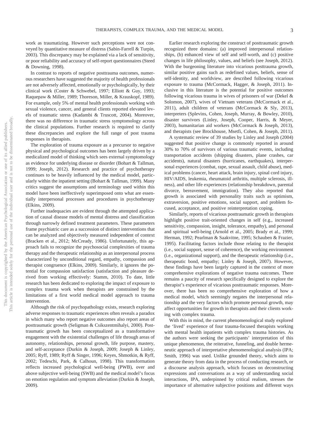work as traumatizing. However such perceptions were not conveyed by quantitative measure of distress (Sabin-Farrell & Turpin, 2003). This discrepancy may be explained via a lack of sensitivity, or poor reliability and accuracy of self-report questionnaires (Steed & Downing, 1998).

In contrast to reports of negative posttrauma outcomes, numerous researchers have suggested the majority of health professionals are not adversely affected, emotionally or psychologically, by their clinical work (Coster & Schwebel, 1997; Elliott & Guy, 1993; Raquepaw & Miller, 1989; Thoreson, Miller, & Krauskopf, 1989). For example, only 5% of mental health professionals working with sexual violence, cancer, and general clients reported elevated levels of traumatic stress (Kadambi & Truscott, 2004). Moreover, there was no difference in traumatic stress symptomology across the clinical populations. Further research is required to clarify these discrepancies and explore the full range of post trauma responses in therapists.

The exploration of trauma exposure as a precursor to negative physical and psychological outcomes has been largely driven by a medicalized model of thinking which sees external symptomology as evidence for underlying disease or disorder (Bohart & Tallman, 1999; Joseph, 2012). Research and practice of psychotherapy continues to be heavily influenced by the medical model, particularly within the inpatient setting (Bohart & Tallman, 1999). Many critics suggest the assumptions and terminology used within this model have been ineffectively superimposed onto what are essentially interpersonal processes and procedures in psychotherapy (Elkins, 2009).

Further inadequacies are evident through the attempted application of causal disease models of mental distress and classification through narrowly defined treatment parameters. These parameters frame psychiatric care as a succession of distinct interventions that can be analyzed and objectively measured independent of context (Bracken et al., 2012; McCready, 1986). Unfortunately, this approach fails to recognize the psychosocial complexities of trauma therapy and the therapeutic relationship as an interpersonal process characterized by unconditional regard, empathy, compassion and therapist congruence (Elkins, 2009). Similarly, it ignores the potential for compassion satisfaction (satisfaction and pleasure derived from working effectively: Stamm, 2010). To date, little research has been dedicated to exploring the impact of exposure to complex trauma work when therapists are constrained by the limitations of a first world medical model approach to trauma intervention.

Although the risk of psychopathology exists, research exploring adverse responses to traumatic experiences often reveals a paradox in which many who report negative outcomes also report areas of posttraumatic growth (Seligman & Csikszentmihalyi, 2000). Posttraumatic growth has been conceptualized as a transformative engagement with the existential challenges of life through areas of autonomy, relationships, personal growth, life purpose, mastery, and self-acceptance (Durkin & Joseph, 2009; Joseph & Linley, 2005; Ryff, 1989; Ryff & Singer, 1996; Keyes, Shmotkin, & Ryff, 2002; Tedeschi, Park, & Calhoun, 1998). This transformation reflects increased psychological well-being (PWB), over and above subjective well-being (SWB) and the medical model's focus on emotion regulation and symptom alleviation (Durkin & Joseph, 2009).

Earlier research exploring the construct of posttraumatic growth recognized three domains: (a) improved interpersonal relationships, (b) enhanced view of self and self-worth, and (c) positive changes in life philosophy, values, and beliefs (see Joseph, 2012). With the burgeoning literature into vicarious posttrauma growth, similar positive gains such as redefined values, beliefs, sense of self-identity, and worldview, are described following vicarious exposure to trauma (McCormack, Hagger, & Joseph, 2011). Inclusive in this literature is the potential for positive outcomes following vicarious trauma in wives of prisoners of war (Dekel & Solomon, 2007), wives of Vietnam veterans (McCormack et al., 2011), adult children of veterans (McCormack & Sly, 2013), interpreters (Splevins, Cohen, Joseph, Murray, & Bowley, 2010), disaster survivors (Linley, Joseph, Cooper, Harris, & Meyer, 2003), humanitarian aid workers (McCormack & Joseph, 2013), and therapists (see Brockhouse, Msetfi, Cohen, & Joseph, 2011).

A systematic review of 39 studies by Linley and Joseph (2004) suggested that positive change is commonly reported in around 30% to 70% of survivors of various traumatic events, including transportation accidents (shipping disasters, plane crashes, car accidents), natural disasters (hurricanes, earthquakes), interpersonal experiences (combat, rape, sexual assault, child abuse), medical problems (cancer, heart attack, brain injury, spinal cord injury, HIV/AIDS, leukemia, rheumatoid arthritis, multiple sclerosis, illness), and other life experiences (relationship breakdown, parental divorce, bereavement, immigration). They also reported that growth is associated with personality traits such as optimism, extraversion, positive emotions, social support, and problem focused, acceptance, and positive reinterpretation coping.

Similarly, reports of vicarious posttraumatic growth in therapists highlight positive trait-oriented changes in self (e.g., increased sensitivity, compassion, insight, tolerance, empathy), and personal and spiritual well-being (Arnold et al., 2005; Brady et al., 1999; Herman, 1992; Pearlman & Saakvitne, 1995; Schauben & Frazier, 1995). Facilitating factors include those relating to the therapist (i.e., social support, sense of coherence), the working environment (i.e., organizational support), and the therapeutic relationship (i.e., therapeutic bond, empathy; Linley & Joseph, 2007). However, these findings have been largely captured in the context of more comprehensive explorations of negative trauma outcomes. There remains a paucity of research specifically designed to explore the therapist's experience of vicarious posttraumatic responses. Moreover, there has been no comprehensive exploration of how a medical model, which seemingly negates the interpersonal relationship and the very factors which promote personal growth, may affect opportunities for growth in therapists and their clients working with complex trauma.

With this in mind, the current phenomenological study explored the 'lived' experience of four trauma-focused therapists working with mental health inpatients with complex trauma histories. As the authors were seeking the participants' interpretation of this unique phenomenon, the reiterative, funneling, and double hermeneutic approach of interpretative phenomenological analysis (IPA; Smith, 1996) was used. Unlike grounded theory, which aims to generate theory from data in the process of conducting research, or a discourse analysis approach, which focuses on deconstructing expressions and conversations as a way of understanding social interactions, IPA, underpinned by critical realism, stresses the importance of alternative subjective positions and different ways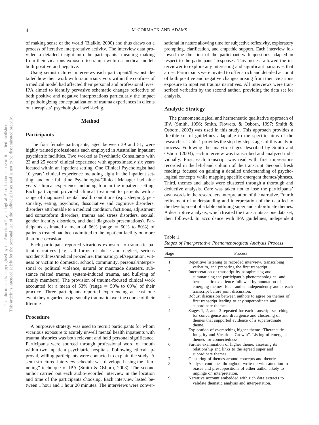of making sense of the world (Blaikie, 2000) and thus draws on a process of iterative interpretative activity. The interview data provided a detailed insight into the participants' meaning making from their vicarious exposure to trauma within a medical model, both positive and negative.

Using semistructured interviews each participant/therapist detailed how their work with trauma survivors within the confines of a medical model had affected their personal and professional lives. IPA aimed to identify pervasive schematic changes reflective of both positive and negative interpretations particularly the impact of pathologizing conceptualization of trauma experiences in clients on therapists' psychological well-being.

#### **Method**

#### **Participants**

The four female participants, aged between 39 and 51, were highly trained professionals each employed in Australian inpatient psychiatric facilities. Two worked as Psychiatric Consultants with 23 and 25 years' clinical experience with approximately six years located within an inpatient setting. One Clinical Psychologist had 10 years' clinical experience including eight in the inpatient setting, and one full time Psychologist/Clinical Manager had nine years' clinical experience including four in the inpatient setting. Each participant provided clinical treatment to patients with a range of diagnosed mental health conditions (e.g., sleeping, personality, eating, psychotic, dissociative and cognitive disorders, disorders attributable to a medical condition, factitious, adjustment and somatoform disorders, trauma and stress disorders, sexual, gender identity disorders, and dual diagnosis presentations). Participants estimated a mean of  $66\%$  (range =  $50\%$  to  $80\%$ ) of patients treated had been admitted to the inpatient facility on more than one occasion.

Each participant reported vicarious exposure to traumatic patient narratives (e.g., all forms of abuse and neglect, serious accident/illness/medical procedure, traumatic grief/separation, witness or victim to domestic, school, community, personal/interpersonal or political violence, natural or manmade disasters, substance related trauma, system-induced trauma, and bullying of family members). The provision of trauma-focused clinical work accounted for a mean of  $53\%$  (range =  $50\%$  to  $60\%$ ) of their practice. Three participants reported experiencing at least one event they regarded as personally traumatic over the course of their lifetime.

#### **Procedure**

A purposive strategy was used to recruit participants for whom vicarious exposure to acutely unwell mental health inpatients with trauma histories was both relevant and held personal significance. Participants were sourced through professional word of mouth within two inpatient psychiatric hospitals. Following ethical approval, willing participants were contacted to explain the study. A semi structured interview schedule was developed using the "funneling" technique of IPA (Smith & Osborn, 2003). The second author carried out each audio-recorded interview in the location and time of the participants choosing. Each interview lasted between 1 hour and 1 hour 20 minutes. The interviews were conversational in nature allowing time for subjective reflexivity, exploratory prompting, clarification, and empathic support. Each interview followed the direction of the participant with questions adapted in respect to the participants' responses. This process allowed the interviewer to explore any interesting and significant narratives that arose. Participants were invited to offer a rich and detailed account of both positive and negative changes arising from their vicarious exposure to inpatient trauma narratives. All interviews were transcribed verbatim by the second author, providing the data set for analysis.

#### **Analytic Strategy**

The phenomenological and hermeneutic qualitative approach of IPA (Smith, 1996; Smith, Flowers, & Osborn, 1997; Smith & Osborn, 2003) was used in this study. This approach provides a flexible set of guidelines adaptable to the specific aims of the researcher. Table 1 provides the step-by-step stages of this analytic process. Following the analytic stages described by Smith and Osborn (2003), each interview was transcribed and analyzed individually. First, each transcript was read with first impressions recorded in the left-hand column of the transcript. Second, fresh readings focused on gaining a detailed understanding of psychological concepts while mapping specific emergent themes/phrases. Third, themes and labels were clustered through a thorough and deductive analysis. Care was taken not to lose the participants' own words in the researchers interpretation of the narrative. Fourth refinement of understanding and interpretation of the data led to the development of a table outlining super and subordinate themes. A descriptive analysis, which treated the transcripts as one data set, then followed. In accordance with IPA guidelines, independent

Table 1

|  | Stages of Interpretative Phenomenological Analysis Process |  |  |
|--|------------------------------------------------------------|--|--|
|  |                                                            |  |  |

| Stage          | Process                                                                                                                                                                                                                                                     |
|----------------|-------------------------------------------------------------------------------------------------------------------------------------------------------------------------------------------------------------------------------------------------------------|
| 1              | Repetitive listening to recorded interview, transcribing<br>verbatim, and preparing the first transcript.                                                                                                                                                   |
| $\overline{c}$ | Interpretation of transcript by paraphrasing and<br>summarising the participant's phenomenological and<br>hermeneutic experience followed by annotation of<br>emerging themes. Each author independently audits each<br>transcript before joint discussion. |
| 3              | Robust discussion between authors to agree on themes of<br>first transcript leading to any superordinate and<br>subordinate themes.                                                                                                                         |
| 4              | Stages 1, 2, and, 3 repeated for each transcript searching<br>for convergence and divergence and clustering of<br>themes that supported evidence of a superordinate<br>theme.                                                                               |
| 5              | Exploration of overarching higher theme "Therapeutic<br>Integrity and Vicarious Growth". Listing of emergent<br>themes for connectedness.                                                                                                                   |
| 6              | Further examination of higher theme, assessing its<br>relationship and links to the agreed super and<br>subordinate themes.                                                                                                                                 |
| 7              | Clustering of themes around concepts and theories.                                                                                                                                                                                                          |
| 8              | Analysis continues throughout write-up with attention to<br>biases and presuppositions of either author likely to<br>impinge on interpretation.                                                                                                             |
| 9              | Narrative account embedded with rich data extracts to<br>validate thematic analysis and interpretation.                                                                                                                                                     |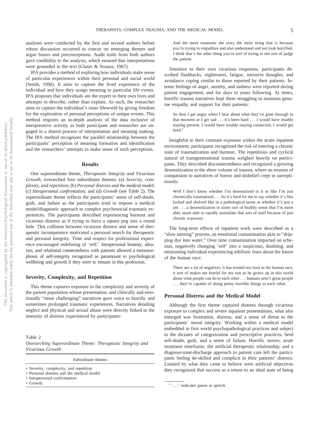analyses were conducted by the first and second authors before robust discussion occurred to concur on emerging themes and argue biases and preconceptions. Audit trails from both authors gave credibility to the analysis, which ensured that interpretations were grounded in the text (Glaser & Strauss, 1967).

IPA provides a method of exploring how individuals make sense of particular experiences within their personal and social world (Smith, 1996). It aims to capture the lived experience of the individual and how they assign meaning to particular life events. IPA proposes that individuals are the expert in their own lives and attempts to describe, rather than explain. As such, the researcher aims to capture the individual's inner lifeworld by giving freedom for the exploration of personal perceptions of unique events. This method requires an in-depth analysis of the data inclusive of interpretative activity as both participant and researcher are engaged in a shared process of interpretation and meaning making. The IPA method recognizes the parallel relationship between the participants' perception of meaning formation and identification and the researchers' attempts to make sense of such perceptions.

#### **Results**

One superordinate theme, *Therapeutic Integrity and Vicarious Growth*, overarched four subordinate themes: (a) *Severity, complexity, and repetition*; (b) *Personal distress and the medical model*; (c) *Intrapersonal confrontation*; and (d) *Growth* (see Table 2). The superordinate theme reflects the participants' sense of self-doubt, guilt, and failure as the participants tried to impose a medical model/diagnostic approach to complex psychosocial traumatic experiences. The participants described experiencing burnout and vicarious distress as if trying to force a square peg into a round hole. This collision between vicarious distress and sense of therapeutic incompetence motivated a personal search for therapeutic and personal integrity. Time and respect for professional experience encouraged redefining of 'self.' Intrapersonal honesty, altruism, and relational connectedness with patients allowed a metamorphosis of self-integrity recognized as paramount to psychological wellbeing and growth if they were to remain in this profession.

#### **Severity, Complexity, and Repetition**

This theme captures exposure to the complexity and severity of the patient population whose presentation, and clinically and emotionally "more challenging" narratives gave voice to horrific and sometimes prolonged traumatic experiences. Narratives detailing neglect and physical and sexual abuse were directly linked to the intensity of distress experienced by participants:

Table 2 *Overarching Superordinate Theme: Therapeutic Integrity and Vicarious Growth*

Subordinate themes

And the more traumatic the story the more tiring that is because you're trying to empathize and also understand and not look horrified. I think that's the other thing you're sort of trying to not sort of judge the patient.

Sensitive to their own vicarious responses, participants described flashbacks, nightmares, fatigue, intrusive thoughts, and avoidance coping similar to those reported by their patients. Intense feelings of anger, anxiety, and sadness were reported during patient engagement, and for days to years following. At times, horrific trauma narratives kept them struggling to maintain genuine empathy and support for their patients:

So then I get angry when I hear about what they've gone through in that moment or I get sad . . . it's been hard . . . I would have trouble staying present, I would have trouble staying connected, I would get tired.<sup>1</sup>

Insightful to their constant exposure within the acute inpatient environment, participants recognized the risk of entering a chronic state of traumatization and burnout. The repetitious and cyclical natural of transgenerational trauma weighed heavily on participants. They described disconnectedness and recognized a growing desensitization to the sheer volume of trauma, where an erosion of compassion to narratives of horror and disbelief crept in surreptitiously:

Well I don't know whether I'm desensitized to it or like I'm just chronically traumatized . . . So it's hard for me to say whether it's like locked and shelved like in a pathological sense or whether it's just a um . . . a desensitization in some sort of healthy sense that I'm more able, more able to rapidly assimilate that sort of stuff because of just chronic exposure.

The long-term effects of inpatient work were described as a "slow tainting" process, an emotional contamination akin to "dripping dye into water." Over time contamination impacted on schemas, negatively changing 'self' into a suspicious, doubting, and mistrusting individual experiencing nihilistic fears about the future of the human race:

There are a lot of negatives, it has eroded my trust in the human race, it sort of makes me fearful for my son as he grows up in this world about what people can do to each other . . . humans aren't great people . . . they're capable of doing pretty horrible things to each other.

#### **Personal Distress and the Medical Model**

Although the first theme captured distress through vicarious exposure to complex and severe inpatient presentations, what also emerged was frustration, distress, and a sense of threat to the participants' moral integrity. Working within a medical model embedded in first world psychopathological practices and subject to the dictates of categorization and prescriptive practices, bred self-doubt, guilt, and a sense of failure. Horrific stories, acute treatment timeframe, the artificial therapeutic relationship, and a diagnose-treat-discharge approach to patient care left the participants feeling de-skilled and complicit in their patients' distress. Limited by what they came to believe were artificial objectives they recognized that success as a return to an ideal state of being

<sup>•</sup> Severity, complexity, and repetition

<sup>•</sup> Personal distress and the medical model

<sup>•</sup> Intrapersonal confrontation

<sup>•</sup> Growth

 $1$  '...' indicates pause in speech.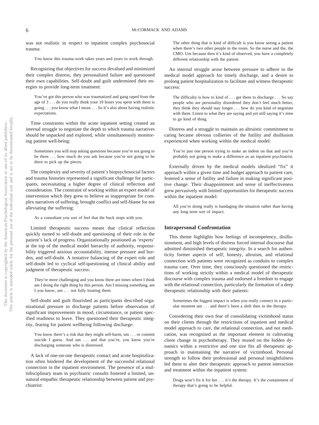was not realistic in respect to inpatient complex psychosocial trauma:

You know this trauma work takes years and years to work through.

Recognizing that objectives for success devalued and minimized their complex distress, they personalized failure and questioned their own capabilities. Self-doubt and guilt undermined their energies to provide long-term treatment:

You've got this person who was traumatized and gang raped from the age of 3 . . . do you really think your 10 hours you spent with them is going . . . you know what I mean . . . So it's also about having realistic expectations.

Time constraints within the acute inpatient setting created an internal struggle to negotiate the depth to which trauma narratives should be unpacked and explored, while simultaneously monitoring patient well-being:

Sometimes you will stop asking questions because you're not going to be there . . . how much do you ask because you're not going to be there to pick up the pieces.

The complexity and severity of patient's biopsychosocial factors and trauma histories represented a significant challenge for participants, necessitating a higher degree of clinical reflection and consideration. The constraint of working within an expert model of intervention which they grew to believe as inappropriate for complex narratives of suffering, brought conflict and self-blame for not alleviating the suffering:

As a consultant you sort of feel that the buck stops with you.

Limited therapeutic success meant that clinical reflection quickly turned to self-doubt and questioning of their role in the patient's lack of progress. Organizationally positioned as 'experts' at the top of the medical model hierarchy of authority, responsibility triggered anxious accountability, intense pressure and burden, and self-doubt. A tentative balancing of the expert role and self-doubt led to cyclical self-questioning of clinical ability and judgment of therapeutic success:

They're more challenging and you know there are times where I think am I doing the right thing by this person. Am I missing something, am I you know, um . . . not fully treating them.

Self-doubt and guilt flourished as participants described organizational pressure to discharge patients before observation of significant improvements in mood, circumstance, or patient specified readiness to leave. They questioned their therapeutic integrity, fearing for patient wellbeing following discharge:

You know there's a risk that they might self-harm, um . . . or commit suicide I guess. And um ... and that you're, you know you're discharging someone who is distressed.

A lack of one-on-one therapeutic contact and acute hospitalization often hindered the development of the successful relational connection in the inpatient environment. The presence of a multidisciplinary team in psychiatric consults fostered a limited, unnatural empathic therapeutic relationship between patient and psychiatrist:

The other thing that is kind of difficult is you know seeing a patient when there's two other people in the room. So the nurse and the, the CMO. Um because then it's kind of observed, you have a completely different relationship with the patient.

An internal struggle arose between pressure to adhere to the medical model approach for timely discharge, and a desire to prolong patient hospitalization to facilitate and witness therapeutic success:

The difficulty is how to kind of . . . get them to discharge . . . So say people who are personality disordered they don't feel much better, they think they should stay longer . . . how do you kind of negotiate with them. Listen to what they are saying and yet still saying it's time to go kind of thing.

Distress and a struggle to maintain an altruistic commitment to caring became obvious collieries of the futility and disillusion experienced when working within the medical model:

You're just one person trying to make an indent on that and you're probably not going to make a difference as an inpatient psychiatrist.

Externally driven by the medical models idealized "fix" it approach within a given time and budget approach to patient care, festered a sense of futility and failure in making significant positive change. Their disappointment and sense of ineffectiveness grew pervasively with limited opportunities for therapeutic success within the inpatient model:

All you're doing really is bandaging the situation rather than having any long term sort of impact.

#### **Intrapersonal Confrontation**

This theme highlights how feelings of incompetency, disillusionment, and high levels of distress forced internal discourse that admitted diminished therapeutic integrity. In a search for authenticity former aspects of self; honesty, altruism, and relational connection with patients were recognized as conduits to complex trauma care. Over time, they consciously questioned the restrictions of working strictly within a medical model of therapeutic discourse with complex trauma and endorsed a freedom to engage with the relational connection, particularly the formation of a deep therapeutic relationship with their patients:

Sometimes the biggest impact is when you really connect in a particular moment um . . . and there's been a shift then in the therapy.

Considering their own fear of consolidating victimhood status on their clients through the restrictions of inpatient and medical model approach to care, the relational connection, and not medication, was recognized as the important element in cultivating client change in psychotherapy. They mused on the hidden dynamics within a restrictive and one size fits all therapeutic approach in maintaining the narrative of victimhood. Personal strength to follow their professional and personal insightfulness led them to alter their therapeutic approach to patient interaction and treatment within the inpatient system:

Drugs won't fix it for her . . . it's the therapy. It's the containment of therapy that's going to be helpful.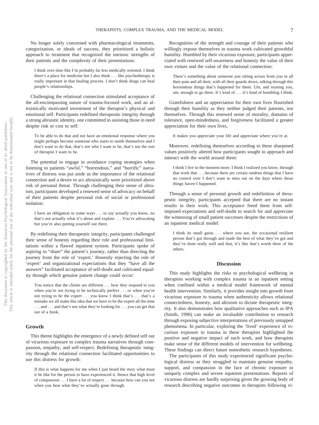No longer solely concerned with pharmacological treatments, categorization, or ideals of success, they prioritized a holistic approach to treatment that recognized the intrinsic strengths of their patients and the complexity of their presentations:

I think over time like I'm probably far less medically oriented. I think there's a place for medicine but I also think . . . like psychotherapy is really important in that healing process. I don't think drugs can heal people's relationships.

Challenging the relational connection stimulated acceptance of the all-encompassing nature of trauma-focused work, and an altruistically motivated investment of the therapist's physical and emotional self. Participants redefined therapeutic integrity through a strong altruistic identity, one committed to assisting those in need despite risk or cost to self:

To be able to do that and not have an emotional response where you might perhaps become someone who starts to numb themselves and I don't want to do that, that's not who I want to be, that's not the sort of therapist I want to be.

The potential to engage in avoidance coping strategies when listening to patients "awful," "horrendous," and "horrific" narratives of distress was put aside as the importance of the relational connection and a desire to act altruistically were prioritized above risk of personal threat. Through challenging their sense of altruism, participants developed a renewed sense of advocacy on behalf of their patients despite personal risk of social or professional isolation:

I have an obligation in some ways . . . to say actually you know, no that's not actually what it's about and explain . . . You're advocating but you're also putting yourself out there.

By redefining their therapeutic integrity, participants challenged their sense of honesty regarding their role and professional limitations within a flawed inpatient system. Participants spoke of aspiring to "share" the patient's journey, rather than directing the journey from the role of 'expert.' Honestly rejecting the role of 'expert' and organizational expectations that they "have all the answers" facilitated acceptance of self-doubt and cultivated equality through which genuine patient change could occur:

You notice that the clients are different . . . how they respond to you when you're not trying to be technically perfect . . . or when you're not trying to be the expert . . . you know I think that's . . . that's a mistake we all make this idea that we have to be the expert all the time . . . and . . . and that's not what they're looking for . . . you can get that out of a book.

#### **Growth**

This theme highlights the emergence of a newly defined self out of vicarious exposure to complex trauma narratives through compassion, empathy, and self-respect. Redefining therapeutic integrity through the relational connection facilitated opportunities to use this distress for growth:

If this is what happens for me when I just heard the story what must it be like for the person to have experienced it. Hence that high level of compassion . . . I have a lot of respect . . . because how can you not when you hear what they've actually gone through.

Recognition of the strength and courage of their patients who willingly expose themselves to trauma work cultivated growthful humility. Humbled by their vicarious exposure, participants appreciated with renewed self-awareness and honesty the value of their own virtues and the value of the relational connection:

There's something about someone just sitting across from you in all their pain and all their, with all their guards down, talking through this horrendous things that's happened for them. Um, and trusting you, um, enough to go there. It's kind of . . . it's kind of humbling I think.

Gratefulness and an appreciation for their own lives flourished through their humility as they neither judged their patients, nor themselves. Through this renewed sense of morality, domains of tolerance, open-mindedness, and forgiveness facilitated a greater appreciation for their own lives,

It makes you appreciate your life and appreciate where you're at.

Moreover, redefining themselves according to these sharpened values positively altered how participants sought to approach and interact with the world around them:

I think I live in the moment more. I think I realized you know, through that work that . . . because there are certain random things that I have no control over I don't want to miss out on the days where those things haven't happened.

Through a sense of personal growth and redefinition of therapeutic integrity, participants accepted that there are no instant results in their work. This acceptance freed them from selfimposed expectations and self-doubt to search for and appreciate the witnessing of small patient successes despite the restrictions of an inpatient medical model:

I think its small gains . . . where you see, the occasional resilient person that's got through and made the best of what they've got and they've done really well and that, it's like that's worth three of the others.

#### **Discussion**

This study highlights the risks to psychological wellbeing in therapists working with complex trauma in an inpatient setting when confined within a medical model framework of mental health intervention. Similarly, it provides insight into growth from vicarious exposure to trauma when authenticity allows relational connectedness, honesty, and altruism to dictate therapeutic integrity. It also demonstrates how qualitative approaches such as IPA (Smith, 1996) can make an invaluable contribution to research through exposing subjective interpretations of previously untapped phenomena. In particular, exploring the 'lived' experience of vicarious exposure to trauma in these therapists highlighted the positive and negative impact of such work, and how therapists make sense of the different models of intervention for wellbeing. These findings can direct future nomothetic research hypotheses.

The participants of this study experienced significant psychological distress as they struggled to maintain genuine empathy, support, and compassion in the face of chronic exposure to uniquely complex and severe inpatient presentations. Reports of vicarious distress are hardly surprising given the growing body of research describing negative outcomes in therapists following vi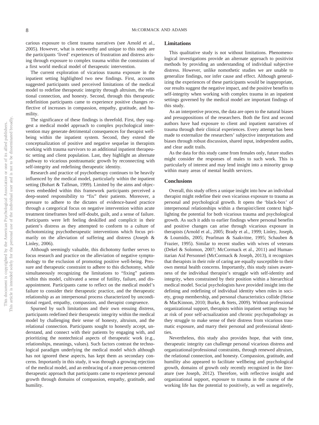carious exposure to client trauma narratives (see Arnold et al., 2005). However, what is noteworthy and unique to this study are the participants 'lived' experiences of frustration and distress arising through exposure to complex trauma within the constraints of a first world medical model of therapeutic intervention.

The current exploration of vicarious trauma exposure in the inpatient setting highlighted two new findings. First, accounts suggested participants used perceived limitations of the medical model to redefine therapeutic integrity through altruism, the relational connection, and honesty. Second, through this therapeutic redefinition participants came to experience positive changes reflective of increases in compassion, empathy, gratitude, and humility.

The significance of these findings is threefold. First, they suggest a medical model approach to complex psychological intervention may generate detrimental consequences for therapist wellbeing within the inpatient system. Second, they extend the conceptualization of positive and negative sequelae in therapists working with trauma survivors to an additional inpatient therapeutic setting and client population. Last, they highlight an alternate pathway to vicarious posttraumatic growth by reconnecting with self-integrity and redefining therapeutic identity.

Research and practice of psychotherapy continues to be heavily influenced by the medical model, particularly within the inpatient setting (Bohart & Tallman, 1999). Limited by the aims and objectives embedded within this framework participants perceived a deep-seated responsibility to "fix" their patients. Moreover, a pressure to adhere to the dictates of evidence-based practice through a categorical focus on negative intervention within acute treatment timeframes bred self-doubt, guilt, and a sense of failure. Participants were left feeling deskilled and complicit in their patient's distress as they attempted to conform to a culture of dichotomizing psychotherapeutic interventions which focus primarily on the alleviation of suffering and distress (Joseph & Linley, 2006).

Although seemingly valuable, this dichotomy further serves to focus research and practice on the alleviation of negative symptomology to the exclusion of promoting positive well-being. Pressure and therapeutic constraint to adhere to this dichotomy, while simultaneously recognizing the limitations to "fixing" patients within this model, cultivated a sense of futility, failure, and disappointment. Participants came to reflect on the medical model's failure to consider their therapeutic practice, and the therapeutic relationship as an interpersonal process characterized by unconditional regard, empathy, compassion, and therapist congruence.

Spurned by such limitations and their own ensuing distress, participants redefined their therapeutic integrity within the medical model by challenging their sense of honesty, altruism, and the relational connection. Participants sought to honestly accept, understand, and connect with their patients by engaging with, and prioritizing the nontechnical aspects of therapeutic work (e.g., relationships, meanings, values). Such factors contrast the technological paradigm underlying the medical model which although has not ignored these aspects, has kept them as secondary concerns. Importantly in this study, it was through a growing rejection of the medical model, and an embracing of a more person-centered therapeutic approach that participants came to experience personal growth through domains of compassion, empathy, gratitude, and humility.

#### **Limitations**

This qualitative study is not without limitations. Phenomenological investigations provide an alternate approach to positivist methods by providing an understanding of individual subjective distress. However, unlike nomothetic studies we are unable to generalize findings, nor infer cause and effect. Although generalizing the experiences of these participants would be inappropriate, our results suggest the negative impact, and the positive benefits to self-integrity when working with complex trauma in an inpatient settings governed by the medical model are important findings of this study.

As an interpretive process, the data are open to the natural biases and presuppositions of the researchers. Both the first and second authors have had exposure to client and inpatient narratives of trauma through their clinical experiences. Every attempt has been made to externalize the researchers' subjective interpretations and biases through robust discussion, shared input, independent audits, and clear audit trails.

As the data for this study came from females only, future studies might consider the responses of males to such work. This is particularly of interest and may lend insight into a minority group within many areas of mental health services.

#### **Conclusions**

Overall, this study offers a unique insight into how an individual therapist might redefine their own vicarious exposure to trauma as personal and psychological growth. It opens the 'black-box' of interpersonal relationships within a therapist/client context highlighting the potential for both vicarious trauma and psychological growth. As such it adds to earlier findings where personal benefits and positive changes can arise through vicarious exposure in therapists (Arnold et al., 2005; Brady et al., 1999; Linley, Joseph, & Loumidis, 2005; Pearlman & Saakvitne, 1995; Schauben & Frazier, 1995). Similar to recent studies with wives of veterans (Dekel & Solomon, 2007; McCormack et al., 2011) and Humanitarian Aid Personnel (McCormack & Joseph, 2013), it recognizes that therapists in their role of caring are equally susceptible to their own mental health concerns. Importantly, this study raises awareness of the individual therapist's struggle with self-identity and integrity, when constrained by their position within a hierarchical medical model. Social psychologists have provided insight into the defining and redefining of individual identity when roles in society, group membership, and personal characteristics collide (Heise & MacKinnon, 2010; Burke, & Stets, 2009). Without professional organizational support, therapists within inpatient settings may be at risk of poor self-actualization and chronic psychopathology as they struggle to make sense of their distress from vicarious traumatic exposure, and marry their personal and professional identities.

Nevertheless, this study also provides hope, that with time, therapeutic integrity can challenge personal vicarious distress and organizational/professional constraints, through renewed altruism, the relational connection, and honesty. Compassion, gratitude, and humility also appeared to facilitate wellbeing and psychological growth, domains of growth only recently recognized in the literature (see Joseph, 2012). Therefore, with reflective insight and organizational support, exposure to trauma in the course of the working life has the potential to positively, as well as negatively,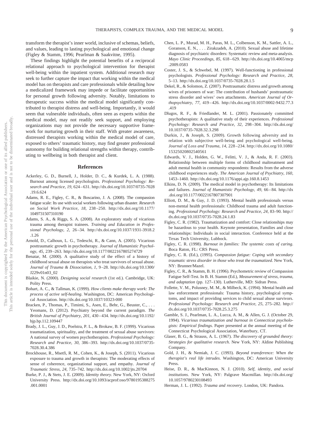transform the therapist's inner world, inclusive of schemas, beliefs, and values, leading to lasting psychological and emotional change (Figley & Stamm, 1996; Pearlman & Saakvitne, 1995).

These findings highlight the potential benefits of a reciprocal relational approach to psychological intervention for therapist well-being within the inpatient system. Additional research may seek to further capture the impact that working within the medical model has on therapists and care professionals while detailing how a medicalized framework may impede or facilitate opportunities for personal growth following adversity. Notably, limitations to therapeutic success within the medical model significantly contributed to therapist distress and well-being. Importantly, it would seem that vulnerable individuals, often seen as experts within the medical model, may not readily seek support, and employing organizations may not provide the necessary supportive framework for nurturing growth in their staff. With greater awareness, distressed therapists working within the medical model of care, exposed to others' traumatic history, may find greater professional autonomy for building relational strengths within therapy, contributing to wellbeing in both therapist and client.

#### **References**

- Ackerley, G. D., Burnell, J., Holder, D. C., & Kurdek, L. A. (1988). Burnout among licensed psychologists. *Professional Psychology: Research and Practice, 19,* 624 – 631. http://dx.doi.org/10.1037/0735-7028 .19.6.624
- Adams, R. E., Figley, C. R., & Boscarino, J. A. (2008). The compassion fatigue scale: Its use with social workers following urban disaster. *Research on Social Work Practice, 18,* 238 –250. http://dx.doi.org/10.1177/ 1049731507310190
- Adams, S. A., & Riggs, S. A. (2008). An exploratory study of vicarious trauma among therapist trainees. *Training and Education in Professional Psychology, 2,* 26 –34. http://dx.doi.org/10.1037/1931-3918.2 .1.26
- Arnold, D., Calhoun, L. G., Tedeschi, R., & Cann, A. (2005). Vicarious posttraumatic growth in psychotherapy. *Journal of Humanistic Psychology, 45,* 239 –263. http://dx.doi.org/10.1177/0022167805274729
- Benatar, M. (2000). A qualitative study of the effect of a history of childhood sexual abuse on therapists who treat survivors of sexual abuse. *Journal of Trauma & Dissociation, 1,* 9 –28. http://dx.doi.org/10.1300/ J229v01n03\_02
- Blaikie, N. (2000). *Designing social research* (1st ed.). Cambridge, UK: Polity Press.
- Bohart, A. C., & Tallman, K. (1999). *How clients make therapy work: The process of active self-healing*. Washington, DC: American Psychological Association. http://dx.doi.org/10.1037/10323-000
- Bracken, P., Thomas, P., Timimi, S., Asen, E., Behr, G., Beuster, C., ... Yeomans, D. (2012). Psychiatry beyond the current paradigm. *The British Journal of Psychiatry, 201,* 430 – 434. http://dx.doi.org/10.1192/ bjp.bp.112.109447
- Brady, J. L., Guy, J. D., Poelstra, P. L., & Brokaw, B. F. (1999). Vicarious traumatization, spirituality, and the treatment of sexual abuse survivors: A national survey of women psychotherapists. *Professional Psychology: Research and Practice, 30,* 386 –393. http://dx.doi.org/10.1037/0735- 7028.30.4.386
- Brockhouse, R., Msetfi, R. M., Cohen, K., & Joseph, S. (2011). Vicarious exposure to trauma and growth in therapists: The moderating effects of sense of coherence, organizational support, and empathy. *Journal of Traumatic Stress, 24,* 735–742. http://dx.doi.org/10.1002/jts.20704
- Burke, P. J., & Stets, J. E. (2009). *Identity theory*. New York, NY: Oxford University Press. http://dx.doi.org/10.1093/acprof:oso/9780195388275 .001.0001
- Chen, L. P., Murad, M. H., Paras, M. L., Colbenson, K. M., Sattler, A. L., Goranson, E. N.,... Zirakzadeh, A. (2010). Sexual abuse and lifetime diagnosis of psychiatric disorders: Systematic review and meta-analysis. *Mayo Clinic Proceedings, 85,* 618 – 629. http://dx.doi.org/10.4065/mcp .2009.0583
- Coster, J. S., & Schwebel, M. (1997). Well-functioning in professional psychologists. *Professional Psychology: Research and Practice, 28,* 5–13. http://dx.doi.org/10.1037/0735-7028.28.1.5
- Dekel, R., & Solomon, Z. (2007). Posttraumatic distress and growth among wives of prisoners of war: The contribution of husbands' posttraumatic stress disorder and wives' own attachments. *American Journal of Orthopsychiatry, 77,* 419 – 426. http://dx.doi.org/10.1037/0002-9432.77.3 .419
- Dlugos, R. F., & Friedlander, M. L. (2001). Passionately committed psychotherapists: A qualitative study of their experiences. *Professional Psychology: Research and Practice, 32,* 298 –304. http://dx.doi.org/ 10.1037/0735-7028.32.3.298
- Durkin, J., & Joseph, S. (2009). Growth following adversity and its relation with subjective well-being and psychological well-being. *Journal of Loss and Trauma, 14,* 228 –234. http://dx.doi.org/10.1080/ 15325020802540561
- Edwards, V. J., Holden, G. W., Felitti, V. J., & Anda, R. F. (2003). Relationship between multiple forms of childhood maltreatment and adult mental health in community respondents: Results from the adverse childhood experiences study. *The American Journal of Psychiatry, 160,* 1453–1460. http://dx.doi.org/10.1176/appi.ajp.160.8.1453
- Elkins, D. N. (2009). The medical model in psychotherapy: Its limitations and failures. *Journal of Humanistic Psychology, 49,* 66 – 84. http://dx .doi.org/10.1177/0022167807307901
- Elliott, D. M., & Guy, J. D. (1993). Mental health professionals versus non-mental health professionals: Childhood trauma and adult functioning. *Professional Psychology: Research and Practice, 24,* 83–90. http:// dx.doi.org/10.1037/0735-7028.24.1.83
- Figley, C. R. (1982). Traumatization and comfort: Close relationships may be hazardous to your health. Keynote presentation, Families and close relationships: Individuals in social interaction. Conference held at the Texas Tech University, Lubbock.
- Figley, C. R. (1998). *Burnout in families: The systemic costs of caring*. Boca Raton, FL: CRS Press.
- Figley, C. R. (Ed.), (1995). *Compassion fatigue: Coping with secondary traumatic stress disorder in those who treat the traumatized*. New York, NY: Brunner/Mazel.
- Figley, C. R., & Stamm, B. H. (1996). Psychometric review of Compassion Fatigue Self-Test. In B. H. Stamm (Ed.), *Measurement of stress, trauma, and adaptation* (pp. 127–130). Lutherville, MD: Sidran Press.
- Follette, V. M., Polusney, M. M., & Milbeck, K. (1994). Mental health and law enforcement professionals: Trauma history, psychological symptoms, and impact of providing services to child sexual abuse survivors. *Professional Psychology: Research and Practice, 25,* 275–282. http:// dx.doi.org/10.1037/0735-7028.25.3.275
- Gamble, S. J., Pearlman, L. A., Lucca, A. M., & Allen, G. J. (October 29, 1994). *Vicarious traumatization and burnout in Connecticut psychologists: Empirical findings*. Paper presented at the annual meeting of the Connecticut Psychological Association, Waterbury, CT.
- Glaser, B. G., & Strauss, A. L. (1967). *The discovery of grounded theory: Strategies for qualitative research*. New York, NY: Aldine Publishing Company.
- Gold, J. H., & Nemiah, J. C. (1993). *Beyond transference: When the therapist's real life intrudes*. Washington, DC: American University Press.
- Heise, D. R., & MacKinnon, N. J. (2010). *Self, identity, and social institutions*. New York, NY: Palgrave Macmillan. http://dx.doi.org/ 10.1057/9780230108493
- Herman, J. L. (1992). *Trauma and recovery*. London, UK: Pandora.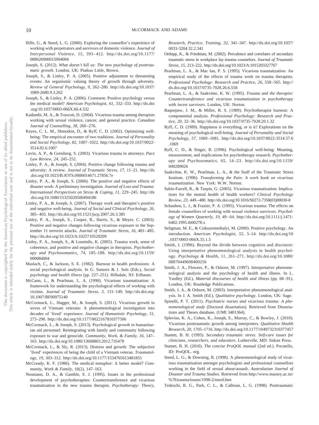- Iliffe, G., & Steed, L. G. (2000). Exploring the counsellor's experience of working with perpetrators and survivors of domestic violence. *Journal of Interpersonal Violence, 15,* 393– 412. http://dx.doi.org/10.1177/ 088626000015004004
- Joseph, S. (2012). *What doesn't kill us: The new psychology of posttraumatic growth*. London, UK: Piatkus Little, Brown.
- Joseph, S., & Linley, P. A. (2005). Positive adjustment to threatening events: An organismic valuing theory of growth through adversity. *Review of General Psychology, 9,* 262–280. http://dx.doi.org/10.1037/ 1089-2680.9.3.262
- Joseph, S., & Linley, P. A. (2006). Comment: Positive psychology versus the medical model? *American Psychologist, 61,* 332–333. http://dx.doi .org/10.1037/0003-066X.60.4.332
- Kadambi, M. A., & Truscott, D. (2004). Vicarious trauma among therapists working with sexual violence, cancer, and general practice. *Canadian Journal of Counselling, 38,* 260 –276.
- Keyes, C. L. M., Shmotkin, D., & Ryff, C. D. (2002). Optimizing wellbeing: The empirical encounter of two traditions. *Journal of Personality and Social Psychology, 82,* 1007–1022. http://dx.doi.org/10.1037/0022- 3514.82.6.1007
- Levin, A. P., & Greisberg, S. (2003). Vicarious trauma in attorneys. *Pace Law Review, 24,* 245–252.
- Linley, P. A., & Joseph, S. (2004). Positive change following trauma and adversity: A review. *Journal of Traumatic Stress, 17,* 11–21. http://dx .doi.org/10.1023/B:JOTS.0000014671.27856.7e
- Linley, P. A., & Joseph, S. (2006). The positive and negative effects of disaster work: A preliminary investigation. *Journal of Loss and Trauma: International Perspectives on Stress & Coping, 11,* 229 –245. http://dx .doi.org/10.1080/15325020500494186
- Linley, P. A., & Joseph, S. (2007). Therapy work and therapist's positive and negative well-being. *Journal of Social and Clinical Psychology, 26,* 385– 403. http://dx.doi.org/10.1521/jscp.2007.26.3.385
- Linley, P. A., Joseph, S., Cooper, R., Harris, S., & Meyer, C. (2003). Positive and negative changes following vicarious exposure to the September 11 terrorist attacks. *Journal of Traumatic Stress*, 16, 481-485. http://dx.doi.org/10.1023/A:1025710528209
- Linley, P. A., Joseph, S., & Loumidis, K. (2005). Trauma work, sense of coherence, and positive and negative changes in therapists. *Psychotherapy and Psychosomatics, 74,* 185–188. http://dx.doi.org/10.1159/ 000084004
- Maslach, C., & Jackson, S. E. (1982). Burnout in health professions: A social psychological analysis. In G. Sansers & J. Suls (Eds.), *Social psychology and health illness* (pp. 227–251). Hillsdale, NJ: Erlbaum.
- McCann, L., & Pearlman, L. A. (1990). Vicarious traumatization: A framework for understanding the psychological effects of working with victims. *Journal of Traumatic Stress, 3,* 131–149. http://dx.doi.org/ 10.1007/BF00975140
- McCormack, L., Hagger, M., & Joseph, S. (2011). Vicarious growth in wives of Vietnam veterans: A phenomenological investigation into decades of 'lived' experience. *Journal of Humanistic Psychology, 51,* 273–290. http://dx.doi.org/10.1177/0022167810377506
- McCormack, L., & Joseph, S. (2013). Psychological growth in humanitarian aid personnel: Reintegrating with family and community following exposure to war and genocide. *Community, Work, & Family, 16,* 147– 163. http://dx.doi.org/10.1080/13668803.2012.735478
- McCormack, L., & Sly, R. (2013). Distress and growth: The subjective 'lived' experiences of being the child of a Vietnam veteran. *Traumatology, 19,* 303–312. http://dx.doi.org/10.1177/1534765613481855
- McCready, K. F. (1986). The medical metaphor: A better model? *Community, Work & Family, 16*(2), 147–163.
- Neumann, D. A., & Gamble, S. J. (1995). Issues in the professional development of psychotherapists: Countertransference and vicarious traumatization in the new trauma therapist. *Psychotherapy: Theory,*

*Research, Practice, Training, 32,* 341–347. http://dx.doi.org/10.1037/ 0033-3204.32.2.341

- Ortlepp, K., & Friedman, M. (2002). Prevalence and correlates of secondary traumatic stress in workplace lay trauma counselors. *Journal of Traumatic Stress, 15,* 213–222. http://dx.doi.org/10.1023/A:1015203327767
- Pearlman, L. A., & Mac Ian, P. S. (1995). Vicarious traumatization: An empirical study of the effects of trauma work on trauma therapists. *Professional Psychology: Research and Practice, 26,* 558 –565. http:// dx.doi.org/10.1037/0735-7028.26.6.558
- Pearlman, L. A., & Saakvitne, K. W. (1995). *Trauma and the therapist: Countertransference and vicarious traumatization in psychotherapy with incest survivors*. London, UK: Norton.
- Raquepaw, J. M., & Miller, R. S. (1989). Psychotherapist burnout: A componential analysis. *Professional Psychology: Research and Practice, 20,* 32–36. http://dx.doi.org/10.1037/0735-7028.20.1.32
- Ryff, C. D. (1989). Happiness is everything, or is it? Explorations on the meaning of psychological well-being. *Journal of Personality and Social Psychology, 57,* 1069 –1081. http://dx.doi.org/10.1037/0022-3514.57.6 .1069
- Ryff, C. D., & Singer, B. (1996). Psychological well-being: Meaning, measurement, and implications for psychotherapy research. *Psychotherapy and Psychosomatics, 65,* 14 –23. http://dx.doi.org/10.1159/ 000289026
- Saakvitne, K. W., Pearlman, L. A., & the Staff of the Traumatic Stress Institute. (1996). *Transforming the Pain: A work book on vicarious traumatization*. New York: W.W. Norton.
- Sabin-Farrell, R., & Turpin, G. (2003). Vicarious traumatization: Implications for the mental health of health workers? *Clinical Psychology Review*, *23,* 449 – 480. http://dx.doi.org/10.1016/S0272-7358(03)00030-8
- Schauben, L. J., & Frazier, P. A. (1995). Vicarious trauma: The effects on female counsellors of working with sexual violence survivors. *Psychology of Women Quarterly, 19,* 49 – 64. http://dx.doi.org/10.1111/j.1471- 6402.1995.tb00278.x
- Seligman, M. E., & Csikszentmihalyi, M. (2000). Positive psychology. An introduction. *American Psychologist, 55,* 5–14. http://dx.doi.org/10 .1037/0003-066X.55.1.5
- Smith, J. (1996). Beyond the divide between cognitive and discourse: Using interpretative phenomenological analysis in health psychology. *Psychology & Health, 11,* 261–271. http://dx.doi.org/10.1080/ 08870449608400256
- Smith, J. A., Flowers, P., & Osborn, M. (1997). Interpretative phenomenological analysis and the psychology of health and illness. In L. Yardley (Ed.), *Material discourses of health and illness* (pp. 68-91). London, UK: Routledge Publications.
- Smith, J. A., & Osborn, M. (2003). Interpretative phenomenological analysis. In J. A. Smith (Ed.), *Qualitative psychology*. London, UK: Sage.
- Spinelli, P. T. (2011). *Psychiatric nurses and vicarious trauma: A phenomenological study* (Doctoral dissertation). Retrieved from Dissertations and Theses database. (UMI 3481364).
- Splevins, K. A., Cohen, K., Joseph, S., Murray, C., & Bowley, J. (2010). Vicarious posttraumatic growth among interpreters. *Qualitative Health Research, 20,* 1705–1716. http://dx.doi.org/10.1177/1049732310377457
- Stamm, B. H. (1995). *Secondary traumatic stress: Self-care issues for clinicians, researchers, and educators*. Lutherville, MD: Sidran Press.
- Stamm, B. H. (2010). *The concise ProQOL manual* (2nd ed.). Pocatello, ID: ProQOL. org.
- Steed, L. G., & Downing, R. (1998). A phenomenological study of vicarious traumatisation amongst psychologists and professional counsellors working in the field of sexual abuse/assault. *Australasian Journal of Disaster and Trauma Studies*. Retrieved from http://www.massey.ac.nz/ %7Etrauma/issues/1998-2/steed.htm
- Tedeschi, R. G., Park, C. L., & Calhoun, L. G. (1998). Posttraumatic